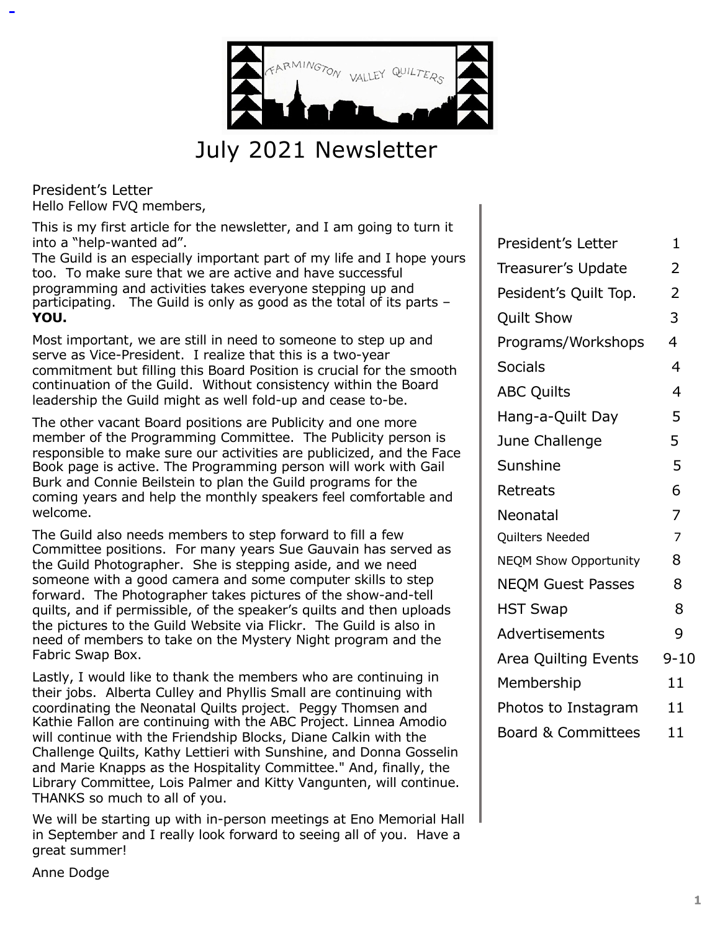

July 2021 Newsletter

President's Letter Hello Fellow FVQ members,

This is my first article for the newsletter, and I am going to turn it into a "help-wanted ad".

The Guild is an especially important part of my life and I hope yours too. To make sure that we are active and have successful programming and activities takes everyone stepping up and participating. The Guild is only as good as the total of its parts – **YOU.**

Most important, we are still in need to someone to step up and serve as Vice-President. I realize that this is a two-year commitment but filling this Board Position is crucial for the smooth continuation of the Guild. Without consistency within the Board leadership the Guild might as well fold-up and cease to-be.

The other vacant Board positions are Publicity and one more member of the Programming Committee. The Publicity person is responsible to make sure our activities are publicized, and the Face Book page is active. The Programming person will work with Gail Burk and Connie Beilstein to plan the Guild programs for the coming years and help the monthly speakers feel comfortable and welcome.

The Guild also needs members to step forward to fill a few Committee positions. For many years Sue Gauvain has served as the Guild Photographer. She is stepping aside, and we need someone with a good camera and some computer skills to step forward. The Photographer takes pictures of the show-and-tell quilts, and if permissible, of the speaker's quilts and then uploads the pictures to the Guild Website via Flickr. The Guild is also in need of members to take on the Mystery Night program and the Fabric Swap Box.

Lastly, I would like to thank the members who are continuing in their jobs. Alberta Culley and Phyllis Small are continuing with coordinating the Neonatal Quilts project. Peggy Thomsen and Kathie Fallon are continuing with the ABC Project. Linnea Amodio will continue with the Friendship Blocks, Diane Calkin with the Challenge Quilts, Kathy Lettieri with Sunshine, and Donna Gosselin and Marie Knapps as the Hospitality Committee." And, finally, the Library Committee, Lois Palmer and Kitty Vangunten, will continue. THANKS so much to all of you.

We will be starting up with in-person meetings at Eno Memorial Hall in September and I really look forward to seeing all of you. Have a great summer!

| President's Letter            | 1              |
|-------------------------------|----------------|
| Treasurer's Update            | $\overline{2}$ |
| Pesident's Quilt Top.         | $\overline{2}$ |
| <b>Quilt Show</b>             | 3              |
| Programs/Workshops            | 4              |
| <b>Socials</b>                | 4              |
| <b>ABC Quilts</b>             | $\overline{4}$ |
| Hang-a-Quilt Day              | 5              |
| June Challenge                | 5              |
| Sunshine                      | 5              |
| Retreats                      | 6              |
| Neonatal                      | $\overline{7}$ |
| Quilters Needed               | $\overline{7}$ |
| <b>NEQM Show Opportunity</b>  | 8              |
| <b>NEQM Guest Passes</b>      | 8              |
| <b>HST Swap</b>               | 8              |
| Advertisements                | 9              |
| Area Quilting Events          | $9 - 10$       |
| Membership                    | 11             |
| Photos to Instagram           | 11             |
| <b>Board &amp; Committees</b> | 11             |
|                               |                |

Anne Dodge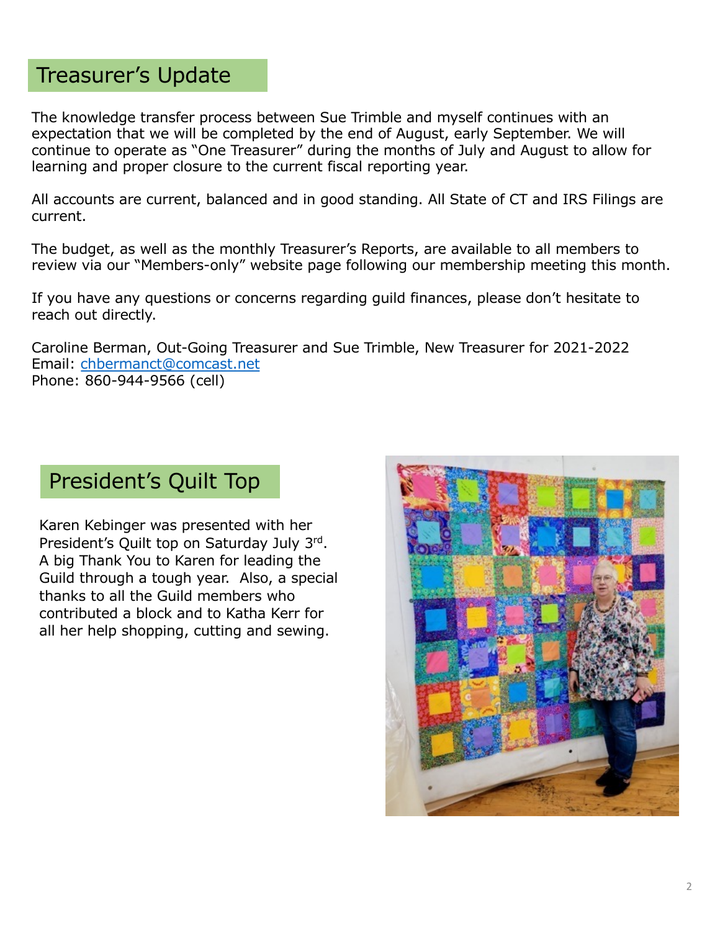## Treasurer's Update

The knowledge transfer process between Sue Trimble and myself continues with an expectation that we will be completed by the end of August, early September. We will continue to operate as "One Treasurer" during the months of July and August to allow for learning and proper closure to the current fiscal reporting year.

All accounts are current, balanced and in good standing. All State of CT and IRS Filings are current.

The budget, as well as the monthly Treasurer's Reports, are available to all members to review via our "Members-only" website page following our membership meeting this month.

If you have any questions or concerns regarding guild finances, please don't hesitate to reach out directly.

Caroline Berman, Out-Going Treasurer and Sue Trimble, New Treasurer for 2021-2022 Email[: chbermanct@comcast.ne](mailto:chbermanct@comcast.net)t Phone: 860-944-9566 (cell)

### President's Quilt Top

Karen Kebinger was presented with her President's Quilt top on Saturday July 3rd. A big Thank You to Karen for leading the Guild through a tough year. Also, a special thanks to all the Guild members who contributed a block and to Katha Kerr for all her help shopping, cutting and sewing.

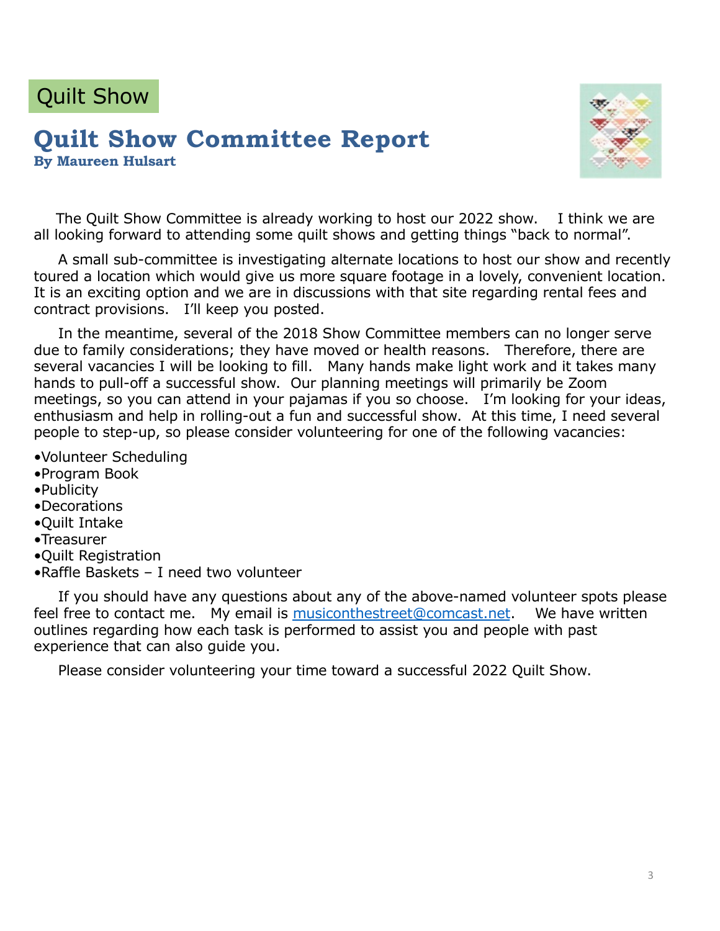# Quilt Show

#### **Quilt Show Committee Report By Maureen Hulsart**



The Quilt Show Committee is already working to host our 2022 show. I think we are all looking forward to attending some quilt shows and getting things "back to normal".

A small sub-committee is investigating alternate locations to host our show and recently toured a location which would give us more square footage in a lovely, convenient location. It is an exciting option and we are in discussions with that site regarding rental fees and contract provisions. I'll keep you posted.

In the meantime, several of the 2018 Show Committee members can no longer serve due to family considerations; they have moved or health reasons. Therefore, there are several vacancies I will be looking to fill. Many hands make light work and it takes many hands to pull-off a successful show. Our planning meetings will primarily be Zoom meetings, so you can attend in your pajamas if you so choose. I'm looking for your ideas, enthusiasm and help in rolling-out a fun and successful show. At this time, I need several people to step-up, so please consider volunteering for one of the following vacancies:

- •Volunteer Scheduling
- •Program Book
- •Publicity
- •Decorations
- •Quilt Intake
- •Treasurer
- •Quilt Registration
- •Raffle Baskets I need two volunteer

If you should have any questions about any of the above-named volunteer spots please feel free to contact me. My email i[s musiconthestreet@comcast.ne](mailto:musiconthestreet@comcast.net)t. We have written outlines regarding how each task is performed to assist you and people with past experience that can also guide you.

Please consider volunteering your time toward a successful 2022 Quilt Show.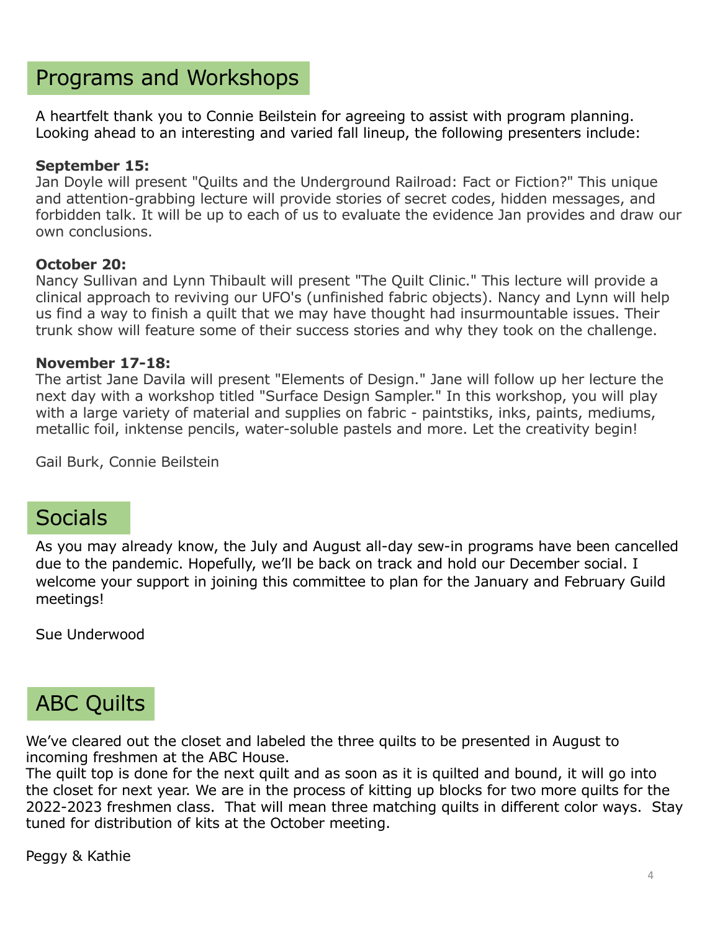### Programs and Workshops

A heartfelt thank you to Connie Beilstein for agreeing to assist with program planning. Looking ahead to an interesting and varied fall lineup, the following presenters include:

#### **September 15:**

Jan Doyle will present "Quilts and the Underground Railroad: Fact or Fiction?" This unique and attention-grabbing lecture will provide stories of secret codes, hidden messages, and forbidden talk. It will be up to each of us to evaluate the evidence Jan provides and draw our own conclusions.

#### **October 20:**

Nancy Sullivan and Lynn Thibault will present "The Quilt Clinic." This lecture will provide a clinical approach to reviving our UFO's (unfinished fabric objects). Nancy and Lynn will help us find a way to finish a quilt that we may have thought had insurmountable issues. Their trunk show will feature some of their success stories and why they took on the challenge.

#### **November 17-18:**

The artist Jane Davila will present "Elements of Design." Jane will follow up her lecture the next day with a workshop titled "Surface Design Sampler." In this workshop, you will play with a large variety of material and supplies on fabric - paintstiks, inks, paints, mediums, metallic foil, inktense pencils, water-soluble pastels and more. Let the creativity begin!

Gail Burk, Connie Beilstein

### **Socials**

As you may already know, the July and August all-day sew-in programs have been cancelled due to the pandemic. Hopefully, we'll be back on track and hold our December social. I welcome your support in joining this committee to plan for the January and February Guild meetings!

Sue Underwood

# ABC Quilts

We've cleared out the closet and labeled the three quilts to be presented in August to incoming freshmen at the ABC House.

The quilt top is done for the next quilt and as soon as it is quilted and bound, it will go into the closet for next year. We are in the process of kitting up blocks for two more quilts for the 2022-2023 freshmen class. That will mean three matching quilts in different color ways. Stay tuned for distribution of kits at the October meeting.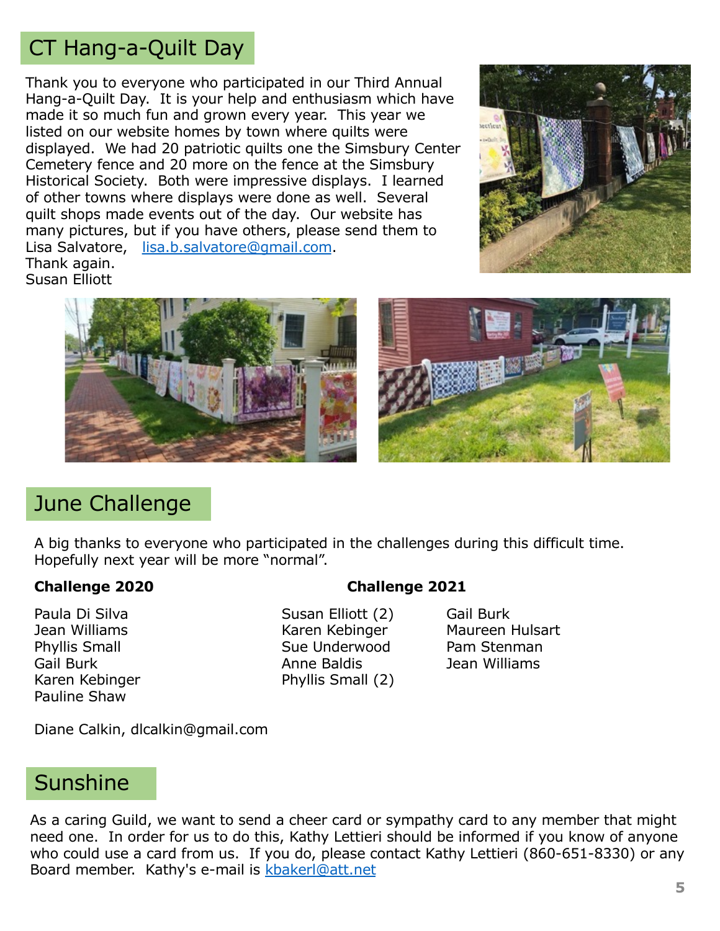# CT Hang-a-Quilt Day

Thank you to everyone who participated in our Third Annual Hang-a-Quilt Day. It is your help and enthusiasm which have made it so much fun and grown every year. This year we listed on our website homes by town where quilts were displayed. We had 20 patriotic quilts one the Simsbury Center Cemetery fence and 20 more on the fence at the Simsbury Historical Society. Both were impressive displays. I learned of other towns where displays were done as well. Several quilt shops made events out of the day. Our website has many pictures, but if you have others, please send them to Lisa Salvatore, [lisa.b.salvatore@gmail.com](mailto:lisa.b.salvatore@gmail.com). Thank again. Susan Elliott







### June Challenge

A big thanks to everyone who participated in the challenges during this difficult time. Hopefully next year will be more "normal".

#### **Challenge 2020 Challenge 2021**

Paula Di Silva **Susan Elliott** (2) Gail Burk Pauline Shaw

Jean Williams Karen Kebinger Maureen Hulsart Phyllis Small **Sue Underwood** Pam Stenman Gail Burk **Anne Baldis** Anne Baldis **Anne Baldis** Jean Williams Karen Kebinger **Phyllis Small (2)** 

Diane Calkin, dlcalkin@gmail.com

### **Sunshine**

As a caring Guild, we want to send a cheer card or sympathy card to any member that might need one. In order for us to do this, Kathy Lettieri should be informed if you know of anyone who could use a card from us. If you do, please contact Kathy Lettieri (860-651-8330) or any Board member. Kathy's e-mail is [kbakerl@att.ne](mailto:kbakerl@att.net)t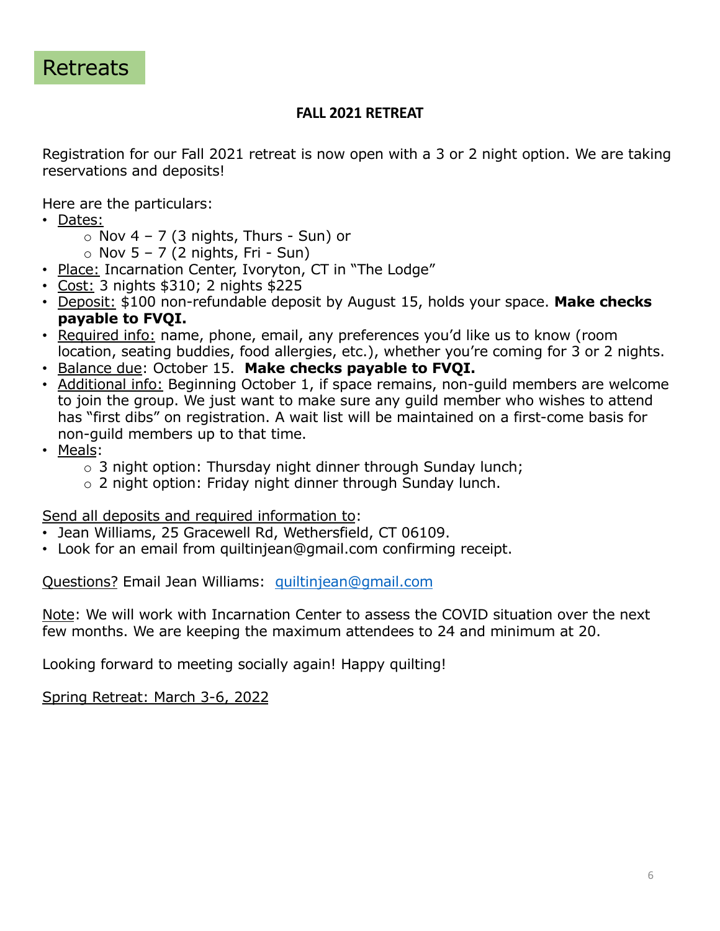

#### **FALL 2021 RETREAT**

Registration for our Fall 2021 retreat is now open with a 3 or 2 night option. We are taking reservations and deposits!

Here are the particulars:

- Dates:
	- $\circ$  Nov 4 7 (3 nights, Thurs Sun) or
	- $\circ$  Nov 5 7 (2 nights, Fri Sun)
- Place: Incarnation Center, Ivoryton, CT in "The Lodge"
- Cost: 3 nights \$310; 2 nights \$225
- Deposit: \$100 non-refundable deposit by August 15, holds your space. **Make checks payable to FVQI.**
- Required info: name, phone, email, any preferences you'd like us to know (room location, seating buddies, food allergies, etc.), whether you're coming for 3 or 2 nights.
- Balance due: October 15. **Make checks payable to FVQI.**
- Additional info: Beginning October 1, if space remains, non-guild members are welcome to join the group. We just want to make sure any guild member who wishes to attend has "first dibs" on registration. A wait list will be maintained on a first-come basis for non-guild members up to that time.
- Meals:
	- $\circ$  3 night option: Thursday night dinner through Sunday lunch;
	- o 2 night option: Friday night dinner through Sunday lunch.

Send all deposits and required information to:

- Jean Williams, 25 Gracewell Rd, Wethersfield, CT 06109.
- Look for an email from quiltinjean@gmail.com confirming receipt.

Questions? Email Jean Williams: [quiltinjean@gmail.com](mailto:quiltinjean@gmail.com)

Note: We will work with Incarnation Center to assess the COVID situation over the next few months. We are keeping the maximum attendees to 24 and minimum at 20.

Looking forward to meeting socially again! Happy quilting!

Spring Retreat: March 3-6, 2022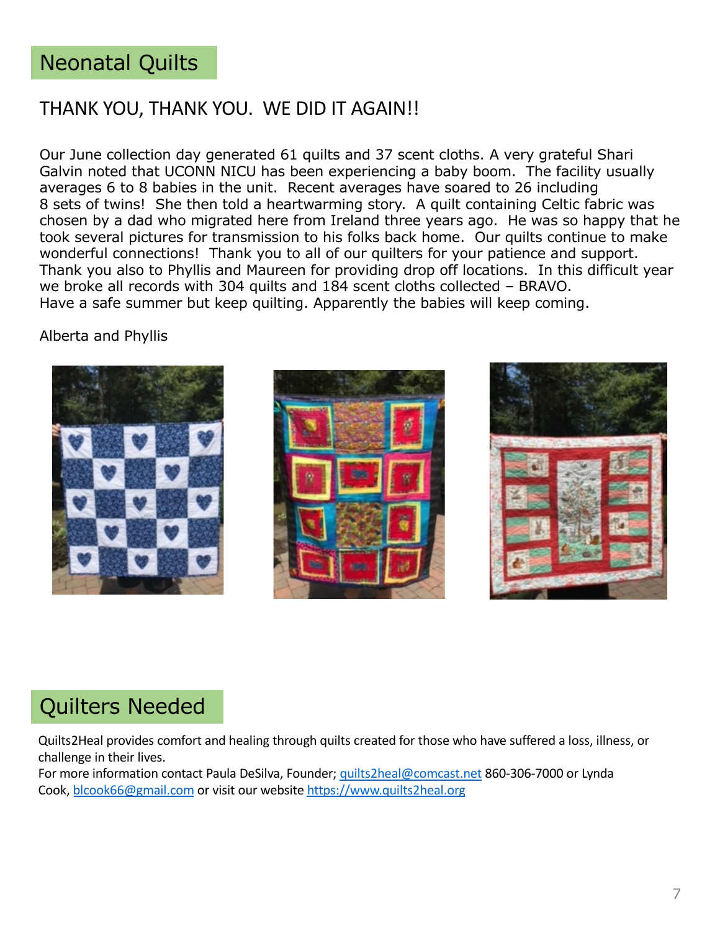### Neonatal Quilts

#### THANK YOU, THANK YOU. WE DID IT AGAIN!!

Our June collection day generated 61 quilts and 37 scent cloths. A very grateful Shari Galvin noted that UCONN NICU has been experiencing a baby boom. The facility usually averages 6 to 8 babies in the unit. Recent averages have soared to 26 including 8 sets of twins! She then told a heartwarming story. A quilt containing Celtic fabric was chosen by a dad who migrated here from Ireland three years ago. He was so happy that he took several pictures for transmission to his folks back home. Our quilts continue to make wonderful connections! Thank you to all of our quilters for your patience and support. Thank you also to Phyllis and Maureen for providing drop off locations. In this difficult year we broke all records with 304 quilts and 184 scent cloths collected – BRAVO. Have a safe summer but keep quilting. Apparently the babies will keep coming.

#### Alberta and Phyllis







## Quilters Needed

Quilts2Heal provides comfort and healing through quilts created for those who have suffered a loss, illness, or challenge in their lives.

For more information contact Paula DeSilva, Founder; [quilts2heal@comcast.ne](mailto:quilts2heal@comcast.net)t 860-306-7000 or Lynda Cook, [blcook66@gmail.com](mailto:blcook66@gmail.com) or visit our website [https://www.quilts2heal.or](https://www.quilts2heal.org/)g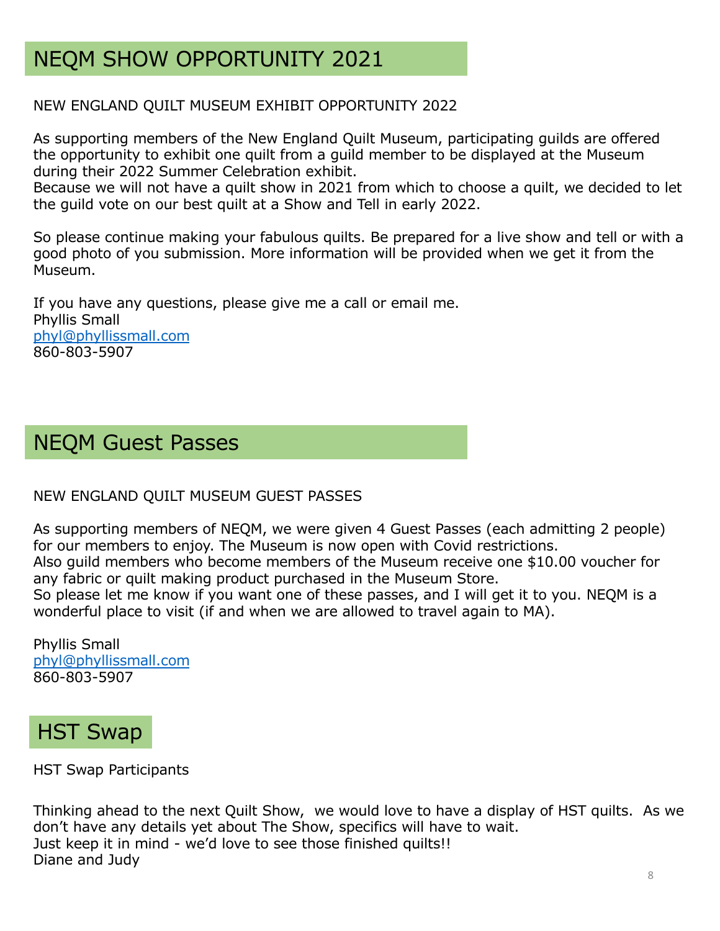# NEQM SHOW OPPORTUNITY 2021

#### NEW ENGLAND QUILT MUSEUM EXHIBIT OPPORTUNITY 2022

As supporting members of the New England Quilt Museum, participating guilds are offered the opportunity to exhibit one quilt from a guild member to be displayed at the Museum during their 2022 Summer Celebration exhibit.

Because we will not have a quilt show in 2021 from which to choose a quilt, we decided to let the guild vote on our best quilt at a Show and Tell in early 2022.

So please continue making your fabulous quilts. Be prepared for a live show and tell or with a good photo of you submission. More information will be provided when we get it from the Museum.

If you have any questions, please give me a call or email me. Phyllis Small [phyl@phyllissmall.com](mailto:phyl@phyllissmall.com) 860-803-5907

### NEQM Guest Passes

#### NEW ENGLAND QUILT MUSEUM GUEST PASSES

As supporting members of NEQM, we were given 4 Guest Passes (each admitting 2 people) for our members to enjoy. The Museum is now open with Covid restrictions. Also guild members who become members of the Museum receive one \$10.00 voucher for

any fabric or quilt making product purchased in the Museum Store. So please let me know if you want one of these passes, and I will get it to you. NEQM is a wonderful place to visit (if and when we are allowed to travel again to MA).

Phyllis Small [phyl@phyllissmall.com](mailto:phyl@phyllissmall.com) 860-803-5907

## HST Swap

HST Swap Participants

Thinking ahead to the next Quilt Show, we would love to have a display of HST quilts. As we don't have any details yet about The Show, specifics will have to wait. Just keep it in mind - we'd love to see those finished quilts!! Diane and Judy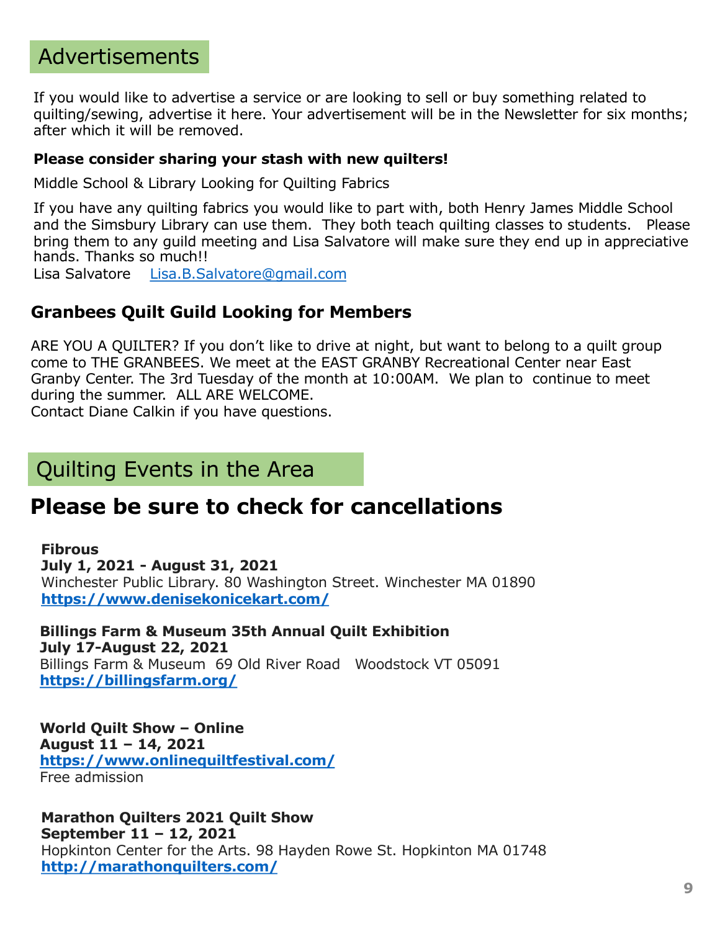## Advertisements

If you would like to advertise a service or are looking to sell or buy something related to quilting/sewing, advertise it here. Your advertisement will be in the Newsletter for six months; after which it will be removed.

#### **Please consider sharing your stash with new quilters!**

Middle School & Library Looking for Quilting Fabrics

If you have any quilting fabrics you would like to part with, both Henry James Middle School and the Simsbury Library can use them. They both teach quilting classes to students. Please bring them to any guild meeting and Lisa Salvatore will make sure they end up in appreciative hands. Thanks so much!!

Lisa Salvatore [Lisa.B.Salvatore@gmail.com](mailto:Lisa.B.Salvatore@gmail.com)

#### **Granbees Quilt Guild Looking for Members**

ARE YOU A QUILTER? If you don't like to drive at night, but want to belong to a quilt group come to THE GRANBEES. We meet at the EAST GRANBY Recreational Center near East Granby Center. The 3rd Tuesday of the month at 10:00AM. We plan to continue to meet during the summer. ALL ARE WELCOME.

Contact Diane Calkin if you have questions.

### Quilting Events in the Area

### **Please be sure to check for cancellations**

**Fibrous July 1, 2021 - August 31, 2021** Winchester Public Library. 80 Washington Street. Winchester MA 01890 **[https://www.denisekonicekart.com](https://sewmanyshows.us19.list-manage.com/track/click?u=45e35880b67872826e6bfbfc2&id=e5da9608de&e=781fb09e8a)/**

**Billings Farm & Museum 35th Annual Quilt Exhibition July 17-August 22, 2021** Billings Farm & Museum 69 Old River Road Woodstock VT 05091 **[https://billingsfarm.org/](https://sewmanyshows.us19.list-manage.com/track/click?u=45e35880b67872826e6bfbfc2&id=ab8e59bf47&e=781fb09e8a)**

**World Quilt Show – Online August 11 – 14, 2021 [https://www.onlinequiltfestival.com](https://sewmanyshows.us19.list-manage.com/track/click?u=45e35880b67872826e6bfbfc2&id=e5c5baa3b2&e=781fb09e8a)/** Free admission

**Marathon Quilters 2021 Quilt Show September 11 – 12, 2021** Hopkinton Center for the Arts. 98 Hayden Rowe St. Hopkinton MA 01748 **[http://marathonquilters.com](https://sewmanyshows.us19.list-manage.com/track/click?u=45e35880b67872826e6bfbfc2&id=37e382f3a0&e=781fb09e8a)/**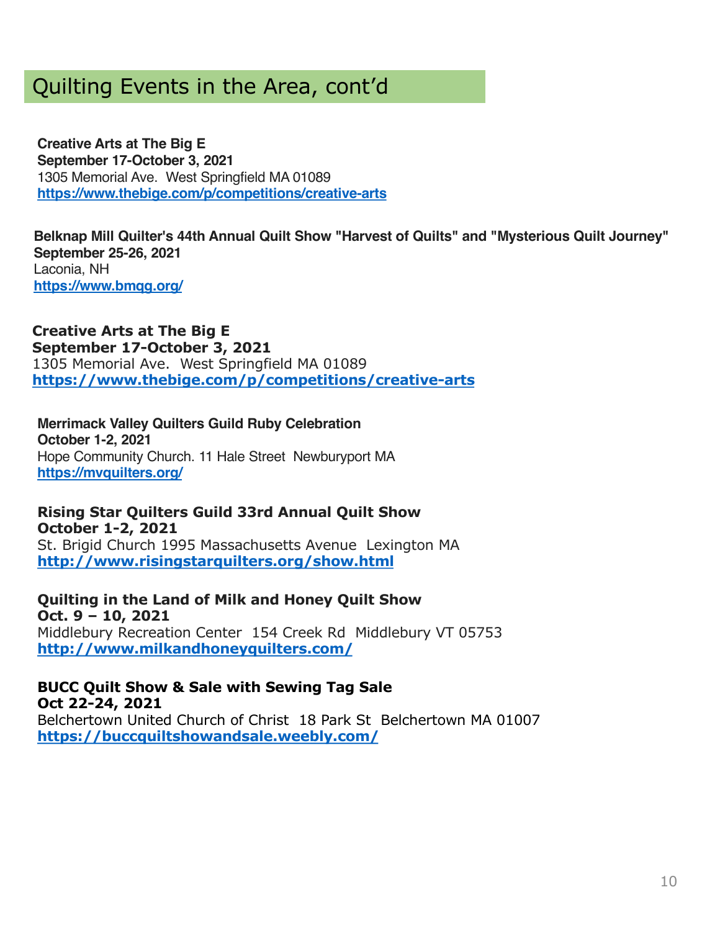## Quilting Events in the Area, cont'd

**Creative Arts at The Big E September 17-October 3, 2021** 1305 Memorial Ave. West Springfield MA 01089 **[https://www.thebige.com/p/competitions/creative-art](https://sewmanyshows.us19.list-manage.com/track/click?u=45e35880b67872826e6bfbfc2&id=db90440a7c&e=781fb09e8a)s**

**Belknap Mill Quilter's 44th Annual Quilt Show "Harvest of Quilts" and "Mysterious Quilt Journey" September 25-26, 2021** Laconia, NH **[https://www.bmqg.org](https://sewmanyshows.us19.list-manage.com/track/click?u=45e35880b67872826e6bfbfc2&id=7b236d844b&e=781fb09e8a)/**

**Creative Arts at The Big E September 17-October 3, 2021** 1305 Memorial Ave. West Springfield MA 01089 **[https://www.thebige.com/p/competitions/creative-art](https://www.thebige.com/p/competitions/creative-arts)s**

**Merrimack Valley Quilters Guild Ruby Celebration October 1-2, 2021** Hope Community Church. 11 Hale Street Newburyport MA **[https://mvquilters.org](https://sewmanyshows.us19.list-manage.com/track/click?u=45e35880b67872826e6bfbfc2&id=a997b3bfa9&e=781fb09e8a)/**

**Rising Star Quilters Guild 33rd Annual Quilt Show October 1-2, 2021** St. Brigid Church 1995 Massachusetts Avenue Lexington MA

**[http://www.risingstarquilters.org/show.htm](https://sewmanyshows.us19.list-manage.com/track/click?u=45e35880b67872826e6bfbfc2&id=9eb0be3039&e=781fb09e8a)l**

**Quilting in the Land of Milk and Honey Quilt Show Oct. 9 – 10, 2021** Middlebury Recreation Center 154 Creek Rd Middlebury VT 05753 **[http://www.milkandhoneyquilters.com](https://sewmanyshows.us19.list-manage.com/track/click?u=45e35880b67872826e6bfbfc2&id=e5574b3904&e=781fb09e8a)/**

**BUCC Quilt Show & Sale with Sewing Tag Sale Oct 22-24, 2021** Belchertown United Church of Christ 18 Park St Belchertown MA 01007

**[https://buccquiltshowandsale.weebly.com](https://sewmanyshows.us19.list-manage.com/track/click?u=45e35880b67872826e6bfbfc2&id=b83fd5b50f&e=781fb09e8a)/**